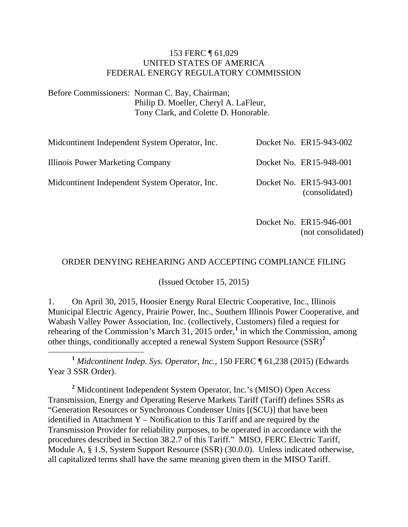#### 153 FERC ¶ 61,029 UNITED STATES OF AMERICA FEDERAL ENERGY REGULATORY COMMISSION

Before Commissioners: Norman C. Bay, Chairman; Philip D. Moeller, Cheryl A. LaFleur, Tony Clark, and Colette D. Honorable.

| Midcontinent Independent System Operator, Inc. | Docket No. ER15-943-002                   |
|------------------------------------------------|-------------------------------------------|
| Illinois Power Marketing Company               | Docket No. ER15-948-001                   |
| Midcontinent Independent System Operator, Inc. | Docket No. ER15-943-001<br>(consolidated) |

Docket No. ER15-946-001 (not consolidated)

#### ORDER DENYING REHEARING AND ACCEPTING COMPLIANCE FILING

(Issued October 15, 2015)

1. On April 30, 2015, Hoosier Energy Rural Electric Cooperative, Inc., Illinois Municipal Electric Agency, Prairie Power, Inc., Southern Illinois Power Cooperative, and Wabash Valley Power Association, Inc. (collectively, Customers) filed a request for rehearing of the Commission's March 3[1](#page-0-0), 2015 order,<sup>1</sup> in which the Commission, among other things, conditionally accepted a renewal System Support Resource (SSR) **[2](#page-0-1)**

<span id="page-0-0"></span> **<sup>1</sup>** *Midcontinent Indep. Sys. Operator, Inc.*, 150 FERC ¶ 61,238 (2015) (Edwards Year 3 SSR Order).

<span id="page-0-1"></span>**<sup>2</sup>** Midcontinent Independent System Operator, Inc.'s (MISO) Open Access Transmission, Energy and Operating Reserve Markets Tariff (Tariff) defines SSRs as "Generation Resources or Synchronous Condenser Units [(SCU)] that have been identified in Attachment Y – Notification to this Tariff and are required by the Transmission Provider for reliability purposes, to be operated in accordance with the procedures described in Section 38.2.7 of this Tariff." MISO, FERC Electric Tariff, Module A, § 1.S, System Support Resource (SSR) (30.0.0). Unless indicated otherwise, all capitalized terms shall have the same meaning given them in the MISO Tariff.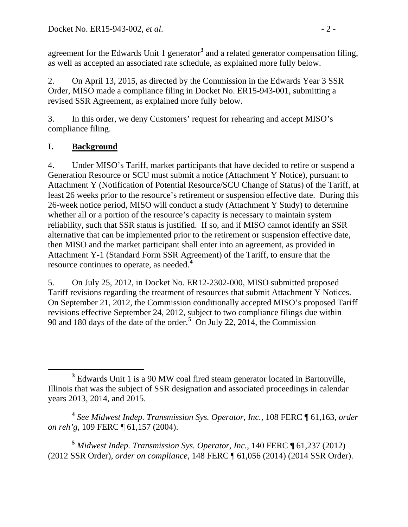agreement for the Edwards Unit 1 generator<sup>[3](#page-1-0)</sup> and a related generator compensation filing, as well as accepted an associated rate schedule, as explained more fully below.

2. On April 13, 2015, as directed by the Commission in the Edwards Year 3 SSR Order, MISO made a compliance filing in Docket No. ER15-943-001, submitting a revised SSR Agreement, as explained more fully below.

3. In this order, we deny Customers' request for rehearing and accept MISO's compliance filing.

### **I. Background**

4. Under MISO's Tariff, market participants that have decided to retire or suspend a Generation Resource or SCU must submit a notice (Attachment Y Notice), pursuant to Attachment Y (Notification of Potential Resource/SCU Change of Status) of the Tariff, at least 26 weeks prior to the resource's retirement or suspension effective date. During this 26-week notice period, MISO will conduct a study (Attachment Y Study) to determine whether all or a portion of the resource's capacity is necessary to maintain system reliability, such that SSR status is justified. If so, and if MISO cannot identify an SSR alternative that can be implemented prior to the retirement or suspension effective date, then MISO and the market participant shall enter into an agreement, as provided in Attachment Y-1 (Standard Form SSR Agreement) of the Tariff, to ensure that the resource continues to operate, as needed.**[4](#page-1-1)**

5. On July 25, 2012, in Docket No. ER12-2302-000, MISO submitted proposed Tariff revisions regarding the treatment of resources that submit Attachment Y Notices. On September 21, 2012, the Commission conditionally accepted MISO's proposed Tariff revisions effective September 24, 2012, subject to two compliance filings due within 90 and 180 days of the date of the order.**[5](#page-1-2)** On July 22, 2014, the Commission

<span id="page-1-2"></span>**<sup>5</sup>** *Midwest Indep. Transmission Sys. Operator, Inc.*, 140 FERC ¶ 61,237 (2012) (2012 SSR Order), *order on compliance*, 148 FERC ¶ 61,056 (2014) (2014 SSR Order).

<span id="page-1-0"></span>**<sup>3</sup>** Edwards Unit 1 is a 90 MW coal fired steam generator located in Bartonville, Illinois that was the subject of SSR designation and associated proceedings in calendar years 2013, 2014, and 2015.

<span id="page-1-1"></span>**<sup>4</sup>** *See Midwest Indep. Transmission Sys. Operator, Inc.*, 108 FERC ¶ 61,163, *order on reh'g*, 109 FERC ¶ 61,157 (2004).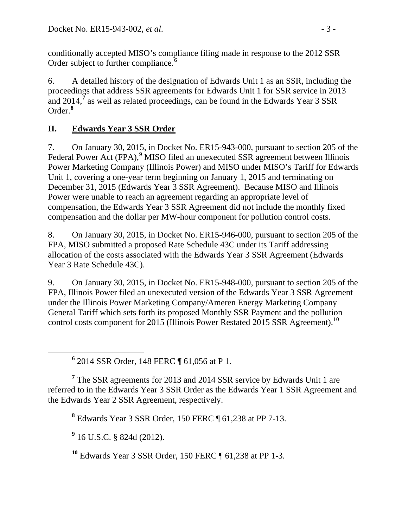conditionally accepted MISO's compliance filing made in response to the 2012 SSR Order subject to further compliance.**[6](#page-2-0)**

6. A detailed history of the designation of Edwards Unit 1 as an SSR, including the proceedings that address SSR agreements for Edwards Unit 1 for SSR service in 2013 and 2014,<sup>[7](#page-2-1)</sup> as well as related proceedings, can be found in the Edwards Year 3 SSR Order.**[8](#page-2-2)**

## **II. Edwards Year 3 SSR Order**

7. On January 30, 2015, in Docket No. ER15-943-000, pursuant to section 205 of the Federal Power Act (FPA),<sup>[9](#page-2-3)</sup> MISO filed an unexecuted SSR agreement between Illinois Power Marketing Company (Illinois Power) and MISO under MISO's Tariff for Edwards Unit 1, covering a one-year term beginning on January 1, 2015 and terminating on December 31, 2015 (Edwards Year 3 SSR Agreement). Because MISO and Illinois Power were unable to reach an agreement regarding an appropriate level of compensation, the Edwards Year 3 SSR Agreement did not include the monthly fixed compensation and the dollar per MW-hour component for pollution control costs.

8. On January 30, 2015, in Docket No. ER15-946-000, pursuant to section 205 of the FPA, MISO submitted a proposed Rate Schedule 43C under its Tariff addressing allocation of the costs associated with the Edwards Year 3 SSR Agreement (Edwards Year 3 Rate Schedule 43C).

9. On January 30, 2015, in Docket No. ER15-948-000, pursuant to section 205 of the FPA, Illinois Power filed an unexecuted version of the Edwards Year 3 SSR Agreement under the Illinois Power Marketing Company/Ameren Energy Marketing Company General Tariff which sets forth its proposed Monthly SSR Payment and the pollution control costs component for 2015 (Illinois Power Restated 2015 SSR Agreement).**[10](#page-2-4)**

**<sup>6</sup>** 2014 SSR Order, 148 FERC ¶ 61,056 at P 1.

<span id="page-2-2"></span><span id="page-2-1"></span><span id="page-2-0"></span>**<sup>7</sup>** The SSR agreements for 2013 and 2014 SSR service by Edwards Unit 1 are referred to in the Edwards Year 3 SSR Order as the Edwards Year 1 SSR Agreement and the Edwards Year 2 SSR Agreement, respectively.

**<sup>8</sup>** Edwards Year 3 SSR Order, 150 FERC ¶ 61,238 at PP 7-13.

<span id="page-2-3"></span>**<sup>9</sup>** 16 U.S.C. § 824d (2012).

<span id="page-2-4"></span>**<sup>10</sup>** Edwards Year 3 SSR Order, 150 FERC ¶ 61,238 at PP 1-3.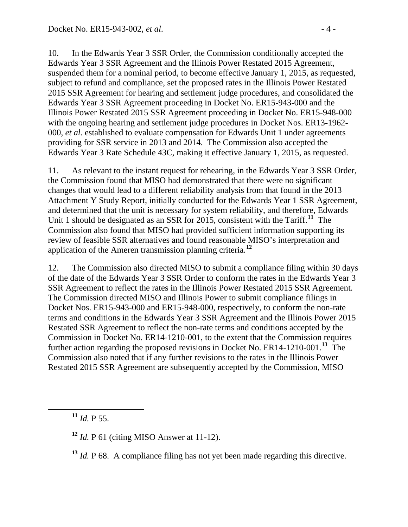10. In the Edwards Year 3 SSR Order, the Commission conditionally accepted the Edwards Year 3 SSR Agreement and the Illinois Power Restated 2015 Agreement, suspended them for a nominal period, to become effective January 1, 2015, as requested, subject to refund and compliance, set the proposed rates in the Illinois Power Restated 2015 SSR Agreement for hearing and settlement judge procedures, and consolidated the Edwards Year 3 SSR Agreement proceeding in Docket No. ER15-943-000 and the Illinois Power Restated 2015 SSR Agreement proceeding in Docket No. ER15-948-000 with the ongoing hearing and settlement judge procedures in Docket Nos. ER13-1962-000, *et al.* established to evaluate compensation for Edwards Unit 1 under agreements providing for SSR service in 2013 and 2014. The Commission also accepted the Edwards Year 3 Rate Schedule 43C, making it effective January 1, 2015, as requested.

11. As relevant to the instant request for rehearing, in the Edwards Year 3 SSR Order, the Commission found that MISO had demonstrated that there were no significant changes that would lead to a different reliability analysis from that found in the 2013 Attachment Y Study Report, initially conducted for the Edwards Year 1 SSR Agreement, and determined that the unit is necessary for system reliability, and therefore, Edwards Unit 1 should be designated as an SSR for 2015, consistent with the Tariff.**[11](#page-3-0)** The Commission also found that MISO had provided sufficient information supporting its review of feasible SSR alternatives and found reasonable MISO's interpretation and application of the Ameren transmission planning criteria.**[12](#page-3-1)**

12. The Commission also directed MISO to submit a compliance filing within 30 days of the date of the Edwards Year 3 SSR Order to conform the rates in the Edwards Year 3 SSR Agreement to reflect the rates in the Illinois Power Restated 2015 SSR Agreement. The Commission directed MISO and Illinois Power to submit compliance filings in Docket Nos. ER15-943-000 and ER15-948-000, respectively, to conform the non-rate terms and conditions in the Edwards Year 3 SSR Agreement and the Illinois Power 2015 Restated SSR Agreement to reflect the non-rate terms and conditions accepted by the Commission in Docket No. ER14-1210-001, to the extent that the Commission requires further action regarding the proposed revisions in Docket No. ER14-1210-001.**[13](#page-3-2)** The Commission also noted that if any further revisions to the rates in the Illinois Power Restated 2015 SSR Agreement are subsequently accepted by the Commission, MISO

<span id="page-3-0"></span> $11$  *Id.* P 55.

<span id="page-3-1"></span>**<sup>12</sup>** *Id.* P 61 (citing MISO Answer at 11-12).

<span id="page-3-2"></span>**<sup>13</sup>** *Id.* P 68. A compliance filing has not yet been made regarding this directive.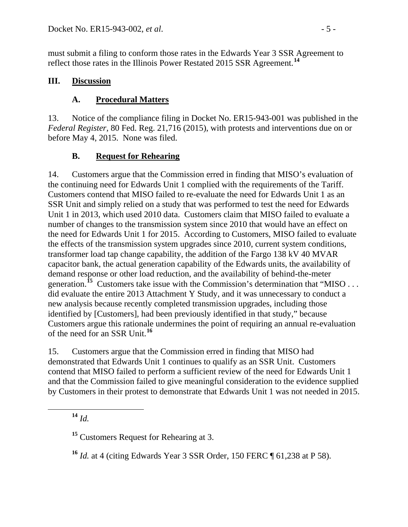must submit a filing to conform those rates in the Edwards Year 3 SSR Agreement to reflect those rates in the Illinois Power Restated 2015 SSR Agreement.**[14](#page-4-0)**

### **III. Discussion**

### **A. Procedural Matters**

13. Notice of the compliance filing in Docket No. ER15-943-001 was published in the *Federal Register*, 80 Fed. Reg. 21,716 (2015), with protests and interventions due on or before May 4, 2015. None was filed.

#### **B. Request for Rehearing**

14. Customers argue that the Commission erred in finding that MISO's evaluation of the continuing need for Edwards Unit 1 complied with the requirements of the Tariff. Customers contend that MISO failed to re-evaluate the need for Edwards Unit 1 as an SSR Unit and simply relied on a study that was performed to test the need for Edwards Unit 1 in 2013, which used 2010 data. Customers claim that MISO failed to evaluate a number of changes to the transmission system since 2010 that would have an effect on the need for Edwards Unit 1 for 2015. According to Customers, MISO failed to evaluate the effects of the transmission system upgrades since 2010, current system conditions, transformer load tap change capability, the addition of the Fargo 138 kV 40 MVAR capacitor bank, the actual generation capability of the Edwards units, the availability of demand response or other load reduction, and the availability of behind-the-meter generation.<sup>[15](#page-4-1)</sup> Customers take issue with the Commission's determination that "MISO ... did evaluate the entire 2013 Attachment Y Study, and it was unnecessary to conduct a new analysis because recently completed transmission upgrades, including those identified by [Customers], had been previously identified in that study," because Customers argue this rationale undermines the point of requiring an annual re-evaluation of the need for an SSR Unit.**[16](#page-4-2)**

15. Customers argue that the Commission erred in finding that MISO had demonstrated that Edwards Unit 1 continues to qualify as an SSR Unit. Customers contend that MISO failed to perform a sufficient review of the need for Edwards Unit 1 and that the Commission failed to give meaningful consideration to the evidence supplied by Customers in their protest to demonstrate that Edwards Unit 1 was not needed in 2015.

<span id="page-4-0"></span>**<sup>14</sup>** *Id.*

<span id="page-4-1"></span>**<sup>15</sup>** Customers Request for Rehearing at 3.

<span id="page-4-2"></span>**<sup>16</sup>** *Id.* at 4 (citing Edwards Year 3 SSR Order, 150 FERC ¶ 61,238 at P 58).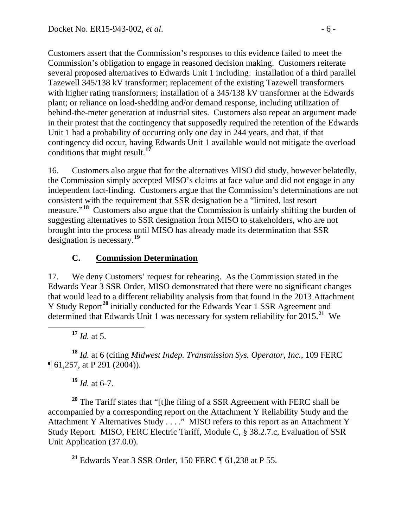Customers assert that the Commission's responses to this evidence failed to meet the Commission's obligation to engage in reasoned decision making. Customers reiterate several proposed alternatives to Edwards Unit 1 including: installation of a third parallel Tazewell 345/138 kV transformer; replacement of the existing Tazewell transformers with higher rating transformers; installation of a 345/138 kV transformer at the Edwards plant; or reliance on load-shedding and/or demand response, including utilization of behind-the-meter generation at industrial sites. Customers also repeat an argument made in their protest that the contingency that supposedly required the retention of the Edwards Unit 1 had a probability of occurring only one day in 244 years, and that, if that contingency did occur, having Edwards Unit 1 available would not mitigate the overload conditions that might result.**[17](#page-5-0)**

16. Customers also argue that for the alternatives MISO did study, however belatedly, the Commission simply accepted MISO's claims at face value and did not engage in any independent fact-finding. Customers argue that the Commission's determinations are not consistent with the requirement that SSR designation be a "limited, last resort measure."<sup>[18](#page-5-1)</sup> Customers also argue that the Commission is unfairly shifting the burden of suggesting alternatives to SSR designation from MISO to stakeholders, who are not brought into the process until MISO has already made its determination that SSR designation is necessary.**[19](#page-5-2)**

### **C. Commission Determination**

17. We deny Customers' request for rehearing. As the Commission stated in the Edwards Year 3 SSR Order, MISO demonstrated that there were no significant changes that would lead to a different reliability analysis from that found in the 2013 Attachment Y Study Report<sup>[20](#page-5-3)</sup> initially conducted for the Edwards Year 1 SSR Agreement and determined that Edwards Unit 1 was necessary for system reliability for 2015.**[21](#page-5-4)** We

**<sup>17</sup>** *Id.* at 5.

<span id="page-5-1"></span><span id="page-5-0"></span>**<sup>18</sup>** *Id.* at 6 (citing *Midwest Indep. Transmission Sys. Operator, Inc.*, 109 FERC ¶ 61,257, at P 291 (2004)).

**<sup>19</sup>** *Id.* at 6-7.

<span id="page-5-3"></span><span id="page-5-2"></span>**<sup>20</sup>** The Tariff states that "[t]he filing of a SSR Agreement with FERC shall be accompanied by a corresponding report on the Attachment Y Reliability Study and the Attachment Y Alternatives Study . . . ." MISO refers to this report as an Attachment Y Study Report. MISO, FERC Electric Tariff, Module C, § 38.2.7.c, Evaluation of SSR Unit Application (37.0.0).

<span id="page-5-4"></span>**<sup>21</sup>** Edwards Year 3 SSR Order, 150 FERC ¶ 61,238 at P 55.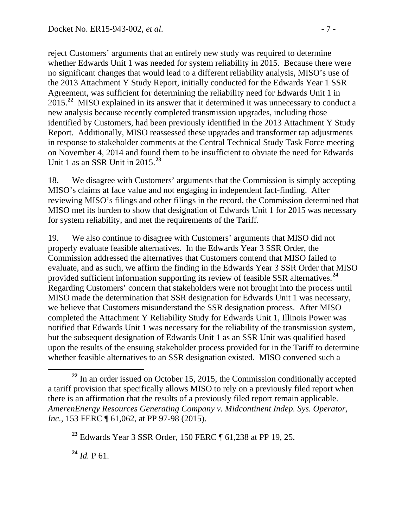reject Customers' arguments that an entirely new study was required to determine whether Edwards Unit 1 was needed for system reliability in 2015. Because there were no significant changes that would lead to a different reliability analysis, MISO's use of the 2013 Attachment Y Study Report, initially conducted for the Edwards Year 1 SSR Agreement, was sufficient for determining the reliability need for Edwards Unit 1 in 2015.**[22](#page-6-0)** MISO explained in its answer that it determined it was unnecessary to conduct a new analysis because recently completed transmission upgrades, including those identified by Customers, had been previously identified in the 2013 Attachment Y Study Report. Additionally, MISO reassessed these upgrades and transformer tap adjustments in response to stakeholder comments at the Central Technical Study Task Force meeting on November 4, 2014 and found them to be insufficient to obviate the need for Edwards Unit 1 as an SSR Unit in 2015.**[23](#page-6-1)**

18. We disagree with Customers' arguments that the Commission is simply accepting MISO's claims at face value and not engaging in independent fact-finding. After reviewing MISO's filings and other filings in the record, the Commission determined that MISO met its burden to show that designation of Edwards Unit 1 for 2015 was necessary for system reliability, and met the requirements of the Tariff.

19. We also continue to disagree with Customers' arguments that MISO did not properly evaluate feasible alternatives. In the Edwards Year 3 SSR Order, the Commission addressed the alternatives that Customers contend that MISO failed to evaluate, and as such, we affirm the finding in the Edwards Year 3 SSR Order that MISO provided sufficient information supporting its review of feasible SSR alternatives.**[24](#page-6-2)** Regarding Customers' concern that stakeholders were not brought into the process until MISO made the determination that SSR designation for Edwards Unit 1 was necessary, we believe that Customers misunderstand the SSR designation process. After MISO completed the Attachment Y Reliability Study for Edwards Unit 1, Illinois Power was notified that Edwards Unit 1 was necessary for the reliability of the transmission system, but the subsequent designation of Edwards Unit 1 as an SSR Unit was qualified based upon the results of the ensuing stakeholder process provided for in the Tariff to determine whether feasible alternatives to an SSR designation existed. MISO convened such a

<span id="page-6-2"></span>**<sup>24</sup>** *Id.* P 61.

<span id="page-6-0"></span>**<sup>22</sup>** In an order issued on October 15, 2015, the Commission conditionally accepted a tariff provision that specifically allows MISO to rely on a previously filed report when there is an affirmation that the results of a previously filed report remain applicable. *AmerenEnergy Resources Generating Company v. Midcontinent Indep. Sys. Operator, Inc.*, 153 FERC ¶ 61,062, at PP 97-98 (2015).

<span id="page-6-1"></span>**<sup>23</sup>** Edwards Year 3 SSR Order, 150 FERC ¶ 61,238 at PP 19, 25.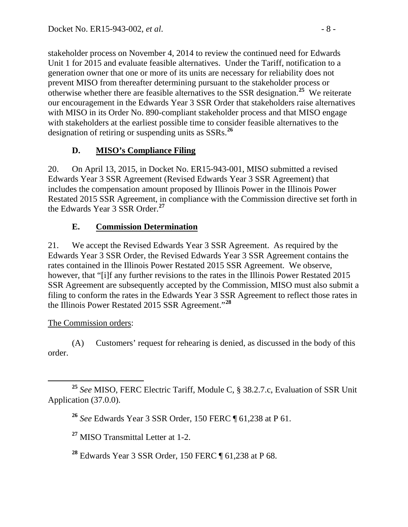stakeholder process on November 4, 2014 to review the continued need for Edwards Unit 1 for 2015 and evaluate feasible alternatives. Under the Tariff, notification to a generation owner that one or more of its units are necessary for reliability does not prevent MISO from thereafter determining pursuant to the stakeholder process or otherwise whether there are feasible alternatives to the SSR designation.**[25](#page-7-0)** We reiterate our encouragement in the Edwards Year 3 SSR Order that stakeholders raise alternatives with MISO in its Order No. 890-compliant stakeholder process and that MISO engage with stakeholders at the earliest possible time to consider feasible alternatives to the designation of retiring or suspending units as SSRs.**[26](#page-7-1)**

# **D. MISO's Compliance Filing**

20. On April 13, 2015, in Docket No. ER15-943-001, MISO submitted a revised Edwards Year 3 SSR Agreement (Revised Edwards Year 3 SSR Agreement) that includes the compensation amount proposed by Illinois Power in the Illinois Power Restated 2015 SSR Agreement, in compliance with the Commission directive set forth in the Edwards Year 3 SSR Order.**[27](#page-7-2)**

# **E. Commission Determination**

21. We accept the Revised Edwards Year 3 SSR Agreement. As required by the Edwards Year 3 SSR Order, the Revised Edwards Year 3 SSR Agreement contains the rates contained in the Illinois Power Restated 2015 SSR Agreement. We observe, however, that "[i]f any further revisions to the rates in the Illinois Power Restated 2015 SSR Agreement are subsequently accepted by the Commission, MISO must also submit a filing to conform the rates in the Edwards Year 3 SSR Agreement to reflect those rates in the Illinois Power Restated 2015 SSR Agreement."**[28](#page-7-3)**

# The Commission orders:

(A) Customers' request for rehearing is denied, as discussed in the body of this order.

**<sup>27</sup>** MISO Transmittal Letter at 1-2.

<span id="page-7-3"></span>**<sup>28</sup>** Edwards Year 3 SSR Order, 150 FERC ¶ 61,238 at P 68.

<span id="page-7-2"></span><span id="page-7-1"></span><span id="page-7-0"></span>**<sup>25</sup>** *See* MISO, FERC Electric Tariff, Module C, § 38.2.7.c, Evaluation of SSR Unit Application (37.0.0).

**<sup>26</sup>** *See* Edwards Year 3 SSR Order, 150 FERC ¶ 61,238 at P 61.